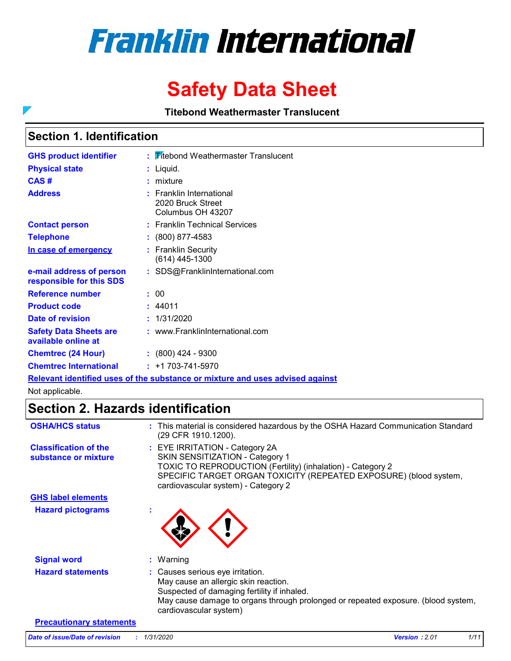# **Franklin International**

## **Safety Data Sheet**

**Titebond Weathermaster Translucent**

### **Section 1. Identification**

 $\overline{\phantom{0}}$ 

| <b>GHS product identifier</b>                        | : Titebond Weathermaster Translucent                               |
|------------------------------------------------------|--------------------------------------------------------------------|
| <b>Physical state</b>                                | Liquid.                                                            |
| CAS#                                                 | mixture                                                            |
| <b>Address</b>                                       | : Franklin International<br>2020 Bruck Street<br>Columbus OH 43207 |
| <b>Contact person</b>                                | : Franklin Technical Services                                      |
| <b>Telephone</b>                                     | $: (800) 877-4583$                                                 |
| In case of emergency                                 | <b>Franklin Security</b><br>(614) 445-1300                         |
| e-mail address of person<br>responsible for this SDS | : SDS@FranklinInternational.com                                    |
| Reference number                                     | : 00                                                               |
| <b>Product code</b>                                  | : 44011                                                            |
| Date of revision                                     | 1/31/2020                                                          |
| <b>Safety Data Sheets are</b><br>available online at | : www.FranklinInternational.com                                    |
| <b>Chemtrec (24 Hour)</b>                            | $: (800)$ 424 - 9300                                               |
| <b>Chemtrec International</b>                        | $: +1703 - 741 - 5970$                                             |

**Relevant identified uses of the substance or mixture and uses advised against**

Not applicable.

### **Section 2. Hazards identification**

| <b>OSHA/HCS status</b>                               | : This material is considered hazardous by the OSHA Hazard Communication Standard<br>(29 CFR 1910.1200).                                                                                                                                     |
|------------------------------------------------------|----------------------------------------------------------------------------------------------------------------------------------------------------------------------------------------------------------------------------------------------|
| <b>Classification of the</b><br>substance or mixture | : EYE IRRITATION - Category 2A<br>SKIN SENSITIZATION - Category 1<br>TOXIC TO REPRODUCTION (Fertility) (inhalation) - Category 2<br>SPECIFIC TARGET ORGAN TOXICITY (REPEATED EXPOSURE) (blood system,<br>cardiovascular system) - Category 2 |
| <b>GHS label elements</b>                            |                                                                                                                                                                                                                                              |
| <b>Hazard pictograms</b>                             |                                                                                                                                                                                                                                              |
| <b>Signal word</b>                                   | $:$ Warning                                                                                                                                                                                                                                  |
| <b>Hazard statements</b>                             | : Causes serious eye irritation.<br>May cause an allergic skin reaction.<br>Suspected of damaging fertility if inhaled.<br>May cause damage to organs through prolonged or repeated exposure. (blood system,<br>cardiovascular system)       |
| <b>Precautionary statements</b>                      |                                                                                                                                                                                                                                              |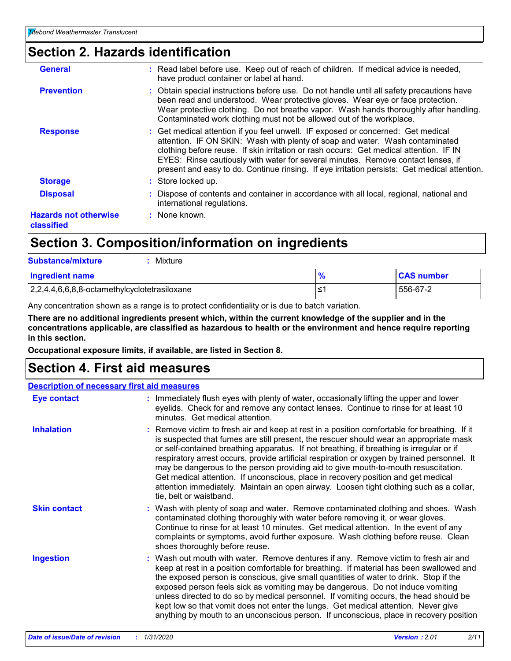### **Section 2. Hazards identification**

| <b>General</b>                             | : Read label before use. Keep out of reach of children. If medical advice is needed,<br>have product container or label at hand.                                                                                                                                                                                                                                                                                                               |
|--------------------------------------------|------------------------------------------------------------------------------------------------------------------------------------------------------------------------------------------------------------------------------------------------------------------------------------------------------------------------------------------------------------------------------------------------------------------------------------------------|
| <b>Prevention</b>                          | : Obtain special instructions before use. Do not handle until all safety precautions have<br>been read and understood. Wear protective gloves. Wear eye or face protection.<br>Wear protective clothing. Do not breathe vapor. Wash hands thoroughly after handling.<br>Contaminated work clothing must not be allowed out of the workplace.                                                                                                   |
| <b>Response</b>                            | : Get medical attention if you feel unwell. IF exposed or concerned: Get medical<br>attention. IF ON SKIN: Wash with plenty of soap and water. Wash contaminated<br>clothing before reuse. If skin irritation or rash occurs: Get medical attention. IF IN<br>EYES: Rinse cautiously with water for several minutes. Remove contact lenses, if<br>present and easy to do. Continue rinsing. If eye irritation persists: Get medical attention. |
| <b>Storage</b>                             | : Store locked up.                                                                                                                                                                                                                                                                                                                                                                                                                             |
| <b>Disposal</b>                            | : Dispose of contents and container in accordance with all local, regional, national and<br>international regulations.                                                                                                                                                                                                                                                                                                                         |
| <b>Hazards not otherwise</b><br>classified | : None known.                                                                                                                                                                                                                                                                                                                                                                                                                                  |
|                                            |                                                                                                                                                                                                                                                                                                                                                                                                                                                |

### **Section 3. Composition/information on ingredients**

| <b>Substance/mixture</b><br>Mixture                   |    |                   |
|-------------------------------------------------------|----|-------------------|
| <b>Ingredient name</b>                                |    | <b>CAS number</b> |
| $\vert 2,2,4,4,6,6,8,8$ -octamethylcyclotetrasiloxane | ≦1 | 556-67-2          |

Any concentration shown as a range is to protect confidentiality or is due to batch variation.

**There are no additional ingredients present which, within the current knowledge of the supplier and in the concentrations applicable, are classified as hazardous to health or the environment and hence require reporting in this section.**

**Occupational exposure limits, if available, are listed in Section 8.**

### **Section 4. First aid measures**

#### **Description of necessary first aid measures**

| <b>Eye contact</b>  | : Immediately flush eyes with plenty of water, occasionally lifting the upper and lower<br>eyelids. Check for and remove any contact lenses. Continue to rinse for at least 10<br>minutes. Get medical attention.                                                                                                                                                                                                                                                                                                                                                                                                                                                                   |
|---------------------|-------------------------------------------------------------------------------------------------------------------------------------------------------------------------------------------------------------------------------------------------------------------------------------------------------------------------------------------------------------------------------------------------------------------------------------------------------------------------------------------------------------------------------------------------------------------------------------------------------------------------------------------------------------------------------------|
| <b>Inhalation</b>   | : Remove victim to fresh air and keep at rest in a position comfortable for breathing. If it<br>is suspected that fumes are still present, the rescuer should wear an appropriate mask<br>or self-contained breathing apparatus. If not breathing, if breathing is irregular or if<br>respiratory arrest occurs, provide artificial respiration or oxygen by trained personnel. It<br>may be dangerous to the person providing aid to give mouth-to-mouth resuscitation.<br>Get medical attention. If unconscious, place in recovery position and get medical<br>attention immediately. Maintain an open airway. Loosen tight clothing such as a collar,<br>tie, belt or waistband. |
| <b>Skin contact</b> | : Wash with plenty of soap and water. Remove contaminated clothing and shoes. Wash<br>contaminated clothing thoroughly with water before removing it, or wear gloves.<br>Continue to rinse for at least 10 minutes. Get medical attention. In the event of any<br>complaints or symptoms, avoid further exposure. Wash clothing before reuse. Clean<br>shoes thoroughly before reuse.                                                                                                                                                                                                                                                                                               |
| <b>Ingestion</b>    | : Wash out mouth with water. Remove dentures if any. Remove victim to fresh air and<br>keep at rest in a position comfortable for breathing. If material has been swallowed and<br>the exposed person is conscious, give small quantities of water to drink. Stop if the<br>exposed person feels sick as vomiting may be dangerous. Do not induce vomiting<br>unless directed to do so by medical personnel. If vomiting occurs, the head should be<br>kept low so that vomit does not enter the lungs. Get medical attention. Never give<br>anything by mouth to an unconscious person. If unconscious, place in recovery position                                                 |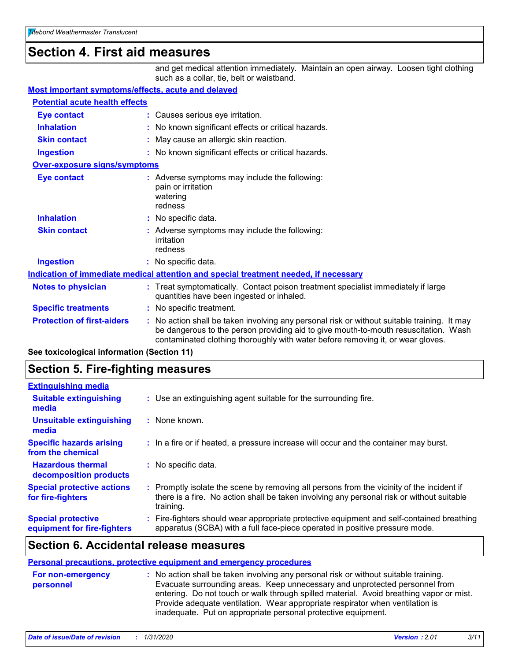### **Section 4. First aid measures**

and get medical attention immediately. Maintain an open airway. Loosen tight clothing such as a collar, tie, belt or waistband.

#### **Most important symptoms/effects, acute and delayed**

| <b>Potential acute health effects</b> |                                                                                                                                                                                                                                                                       |  |
|---------------------------------------|-----------------------------------------------------------------------------------------------------------------------------------------------------------------------------------------------------------------------------------------------------------------------|--|
| <b>Eye contact</b>                    | : Causes serious eye irritation.                                                                                                                                                                                                                                      |  |
| <b>Inhalation</b>                     | : No known significant effects or critical hazards.                                                                                                                                                                                                                   |  |
| <b>Skin contact</b>                   | May cause an allergic skin reaction.                                                                                                                                                                                                                                  |  |
| <b>Ingestion</b>                      | : No known significant effects or critical hazards.                                                                                                                                                                                                                   |  |
| <b>Over-exposure signs/symptoms</b>   |                                                                                                                                                                                                                                                                       |  |
| <b>Eye contact</b>                    | : Adverse symptoms may include the following:<br>pain or irritation<br>watering<br>redness                                                                                                                                                                            |  |
| <b>Inhalation</b>                     | : No specific data.                                                                                                                                                                                                                                                   |  |
| <b>Skin contact</b>                   | : Adverse symptoms may include the following:<br>irritation<br>redness                                                                                                                                                                                                |  |
| <b>Ingestion</b>                      | : No specific data.                                                                                                                                                                                                                                                   |  |
|                                       | Indication of immediate medical attention and special treatment needed, if necessary                                                                                                                                                                                  |  |
| <b>Notes to physician</b>             | : Treat symptomatically. Contact poison treatment specialist immediately if large<br>quantities have been ingested or inhaled.                                                                                                                                        |  |
| <b>Specific treatments</b>            | : No specific treatment.                                                                                                                                                                                                                                              |  |
| <b>Protection of first-aiders</b>     | : No action shall be taken involving any personal risk or without suitable training. It may<br>be dangerous to the person providing aid to give mouth-to-mouth resuscitation. Wash<br>contaminated clothing thoroughly with water before removing it, or wear gloves. |  |

**See toxicological information (Section 11)**

### **Section 5. Fire-fighting measures**

| <b>Extinguishing media</b>                               |                                                                                                                                                                                                     |  |
|----------------------------------------------------------|-----------------------------------------------------------------------------------------------------------------------------------------------------------------------------------------------------|--|
| <b>Suitable extinguishing</b><br>media                   | : Use an extinguishing agent suitable for the surrounding fire.                                                                                                                                     |  |
| <b>Unsuitable extinguishing</b><br>media                 | : None known.                                                                                                                                                                                       |  |
| <b>Specific hazards arising</b><br>from the chemical     | : In a fire or if heated, a pressure increase will occur and the container may burst.                                                                                                               |  |
| <b>Hazardous thermal</b><br>decomposition products       | : No specific data.                                                                                                                                                                                 |  |
| <b>Special protective actions</b><br>for fire-fighters   | : Promptly isolate the scene by removing all persons from the vicinity of the incident if<br>there is a fire. No action shall be taken involving any personal risk or without suitable<br>training. |  |
| <b>Special protective</b><br>equipment for fire-fighters | : Fire-fighters should wear appropriate protective equipment and self-contained breathing<br>apparatus (SCBA) with a full face-piece operated in positive pressure mode.                            |  |

#### **Section 6. Accidental release measures**

#### **Personal precautions, protective equipment and emergency procedures**

| For non-emergency<br>personnel | : No action shall be taken involving any personal risk or without suitable training.<br>Evacuate surrounding areas. Keep unnecessary and unprotected personnel from<br>entering. Do not touch or walk through spilled material. Avoid breathing vapor or mist.<br>Provide adequate ventilation. Wear appropriate respirator when ventilation is |
|--------------------------------|-------------------------------------------------------------------------------------------------------------------------------------------------------------------------------------------------------------------------------------------------------------------------------------------------------------------------------------------------|
|                                | inadequate. Put on appropriate personal protective equipment.                                                                                                                                                                                                                                                                                   |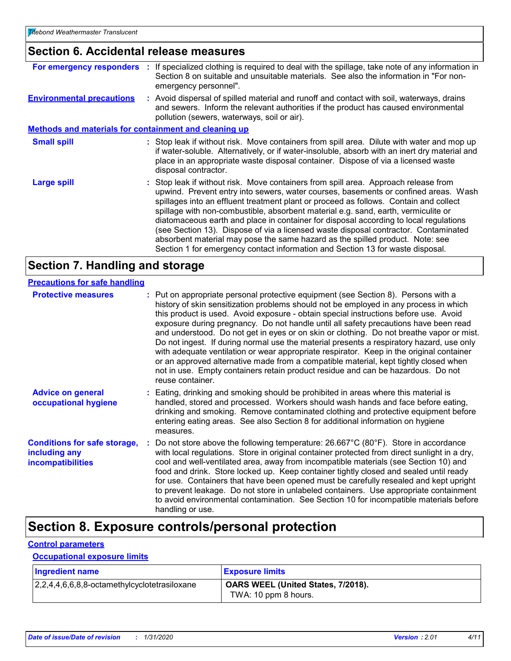### **Section 6. Accidental release measures**

|                                                              | For emergency responders : If specialized clothing is required to deal with the spillage, take note of any information in<br>Section 8 on suitable and unsuitable materials. See also the information in "For non-<br>emergency personnel".                                                                                                                                                                                                                                                                                                                                                                                                                                                                  |
|--------------------------------------------------------------|--------------------------------------------------------------------------------------------------------------------------------------------------------------------------------------------------------------------------------------------------------------------------------------------------------------------------------------------------------------------------------------------------------------------------------------------------------------------------------------------------------------------------------------------------------------------------------------------------------------------------------------------------------------------------------------------------------------|
| <b>Environmental precautions</b>                             | : Avoid dispersal of spilled material and runoff and contact with soil, waterways, drains<br>and sewers. Inform the relevant authorities if the product has caused environmental<br>pollution (sewers, waterways, soil or air).                                                                                                                                                                                                                                                                                                                                                                                                                                                                              |
| <b>Methods and materials for containment and cleaning up</b> |                                                                                                                                                                                                                                                                                                                                                                                                                                                                                                                                                                                                                                                                                                              |
| <b>Small spill</b>                                           | : Stop leak if without risk. Move containers from spill area. Dilute with water and mop up<br>if water-soluble. Alternatively, or if water-insoluble, absorb with an inert dry material and<br>place in an appropriate waste disposal container. Dispose of via a licensed waste<br>disposal contractor.                                                                                                                                                                                                                                                                                                                                                                                                     |
| <b>Large spill</b>                                           | : Stop leak if without risk. Move containers from spill area. Approach release from<br>upwind. Prevent entry into sewers, water courses, basements or confined areas. Wash<br>spillages into an effluent treatment plant or proceed as follows. Contain and collect<br>spillage with non-combustible, absorbent material e.g. sand, earth, vermiculite or<br>diatomaceous earth and place in container for disposal according to local regulations<br>(see Section 13). Dispose of via a licensed waste disposal contractor. Contaminated<br>absorbent material may pose the same hazard as the spilled product. Note: see<br>Section 1 for emergency contact information and Section 13 for waste disposal. |

### **Section 7. Handling and storage**

#### **Precautions for safe handling**

| <b>Protective measures</b>                                                       | reuse container. | : Put on appropriate personal protective equipment (see Section 8). Persons with a<br>history of skin sensitization problems should not be employed in any process in which<br>this product is used. Avoid exposure - obtain special instructions before use. Avoid<br>exposure during pregnancy. Do not handle until all safety precautions have been read<br>and understood. Do not get in eyes or on skin or clothing. Do not breathe vapor or mist.<br>Do not ingest. If during normal use the material presents a respiratory hazard, use only<br>with adequate ventilation or wear appropriate respirator. Keep in the original container<br>or an approved alternative made from a compatible material, kept tightly closed when<br>not in use. Empty containers retain product residue and can be hazardous. Do not |
|----------------------------------------------------------------------------------|------------------|-----------------------------------------------------------------------------------------------------------------------------------------------------------------------------------------------------------------------------------------------------------------------------------------------------------------------------------------------------------------------------------------------------------------------------------------------------------------------------------------------------------------------------------------------------------------------------------------------------------------------------------------------------------------------------------------------------------------------------------------------------------------------------------------------------------------------------|
| <b>Advice on general</b><br>occupational hygiene                                 | measures.        | : Eating, drinking and smoking should be prohibited in areas where this material is<br>handled, stored and processed. Workers should wash hands and face before eating,<br>drinking and smoking. Remove contaminated clothing and protective equipment before<br>entering eating areas. See also Section 8 for additional information on hygiene                                                                                                                                                                                                                                                                                                                                                                                                                                                                            |
| <b>Conditions for safe storage,</b><br>including any<br><b>incompatibilities</b> | handling or use. | : Do not store above the following temperature: $26.667^{\circ}C(80^{\circ}F)$ . Store in accordance<br>with local regulations. Store in original container protected from direct sunlight in a dry,<br>cool and well-ventilated area, away from incompatible materials (see Section 10) and<br>food and drink. Store locked up. Keep container tightly closed and sealed until ready<br>for use. Containers that have been opened must be carefully resealed and kept upright<br>to prevent leakage. Do not store in unlabeled containers. Use appropriate containment<br>to avoid environmental contamination. See Section 10 for incompatible materials before                                                                                                                                                           |

### **Section 8. Exposure controls/personal protection**

#### **Control parameters**

#### **Occupational exposure limits**

| <b>Ingredient name</b>                              | <b>Exposure limits</b>                                     |
|-----------------------------------------------------|------------------------------------------------------------|
| 2, 2, 4, 4, 6, 6, 8, 8-octamethylcyclotetrasiloxane | OARS WEEL (United States, 7/2018).<br>TWA: 10 ppm 8 hours. |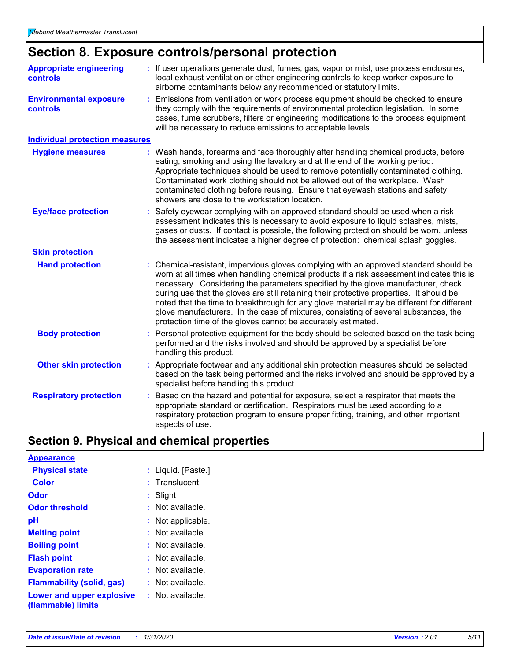### **Section 8. Exposure controls/personal protection**

| <b>Appropriate engineering</b><br>controls       | : If user operations generate dust, fumes, gas, vapor or mist, use process enclosures,<br>local exhaust ventilation or other engineering controls to keep worker exposure to<br>airborne contaminants below any recommended or statutory limits.                                                                                                                                                                                                                                                                                                                                                                     |  |  |
|--------------------------------------------------|----------------------------------------------------------------------------------------------------------------------------------------------------------------------------------------------------------------------------------------------------------------------------------------------------------------------------------------------------------------------------------------------------------------------------------------------------------------------------------------------------------------------------------------------------------------------------------------------------------------------|--|--|
| <b>Environmental exposure</b><br><b>controls</b> | Emissions from ventilation or work process equipment should be checked to ensure<br>they comply with the requirements of environmental protection legislation. In some<br>cases, fume scrubbers, filters or engineering modifications to the process equipment<br>will be necessary to reduce emissions to acceptable levels.                                                                                                                                                                                                                                                                                        |  |  |
| <b>Individual protection measures</b>            |                                                                                                                                                                                                                                                                                                                                                                                                                                                                                                                                                                                                                      |  |  |
| <b>Hygiene measures</b>                          | Wash hands, forearms and face thoroughly after handling chemical products, before<br>eating, smoking and using the lavatory and at the end of the working period.<br>Appropriate techniques should be used to remove potentially contaminated clothing.<br>Contaminated work clothing should not be allowed out of the workplace. Wash<br>contaminated clothing before reusing. Ensure that eyewash stations and safety<br>showers are close to the workstation location.                                                                                                                                            |  |  |
| <b>Eye/face protection</b>                       | Safety eyewear complying with an approved standard should be used when a risk<br>assessment indicates this is necessary to avoid exposure to liquid splashes, mists,<br>gases or dusts. If contact is possible, the following protection should be worn, unless<br>the assessment indicates a higher degree of protection: chemical splash goggles.                                                                                                                                                                                                                                                                  |  |  |
| <b>Skin protection</b>                           |                                                                                                                                                                                                                                                                                                                                                                                                                                                                                                                                                                                                                      |  |  |
| <b>Hand protection</b>                           | Chemical-resistant, impervious gloves complying with an approved standard should be<br>worn at all times when handling chemical products if a risk assessment indicates this is<br>necessary. Considering the parameters specified by the glove manufacturer, check<br>during use that the gloves are still retaining their protective properties. It should be<br>noted that the time to breakthrough for any glove material may be different for different<br>glove manufacturers. In the case of mixtures, consisting of several substances, the<br>protection time of the gloves cannot be accurately estimated. |  |  |
| <b>Body protection</b>                           | Personal protective equipment for the body should be selected based on the task being<br>performed and the risks involved and should be approved by a specialist before<br>handling this product.                                                                                                                                                                                                                                                                                                                                                                                                                    |  |  |
| <b>Other skin protection</b>                     | Appropriate footwear and any additional skin protection measures should be selected<br>based on the task being performed and the risks involved and should be approved by a<br>specialist before handling this product.                                                                                                                                                                                                                                                                                                                                                                                              |  |  |
| <b>Respiratory protection</b>                    | Based on the hazard and potential for exposure, select a respirator that meets the<br>appropriate standard or certification. Respirators must be used according to a<br>respiratory protection program to ensure proper fitting, training, and other important<br>aspects of use.                                                                                                                                                                                                                                                                                                                                    |  |  |

### **Section 9. Physical and chemical properties**

| <b>Appearance</b>                               |                        |
|-------------------------------------------------|------------------------|
| <b>Physical state</b>                           | : Liquid. [Paste.]     |
| Color                                           | $:$ Translucent        |
| Odor                                            | : Slight               |
| <b>Odor threshold</b>                           | $\cdot$ Not available. |
| рH                                              | : Not applicable.      |
| <b>Melting point</b>                            | : Not available.       |
| <b>Boiling point</b>                            | $:$ Not available.     |
| <b>Flash point</b>                              | $:$ Not available.     |
| <b>Evaporation rate</b>                         | : Not available.       |
| <b>Flammability (solid, gas)</b>                | : Not available.       |
| Lower and upper explosive<br>(flammable) limits | : Not available.       |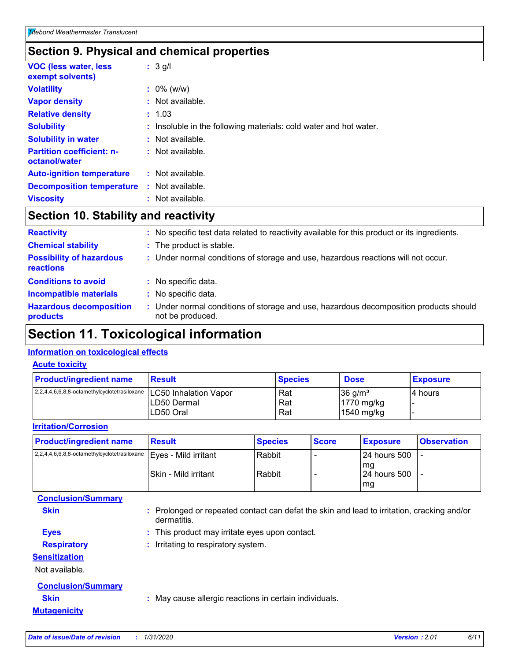### **Section 9. Physical and chemical properties**

| <b>VOC (less water, less)</b><br>exempt solvents) | $: 3$ g/l                                                         |
|---------------------------------------------------|-------------------------------------------------------------------|
| <b>Volatility</b>                                 | $: 0\%$ (w/w)                                                     |
| <b>Vapor density</b>                              | $:$ Not available.                                                |
| <b>Relative density</b>                           | : 1.03                                                            |
| <b>Solubility</b>                                 | : Insoluble in the following materials: cold water and hot water. |
| <b>Solubility in water</b>                        | : Not available.                                                  |
| <b>Partition coefficient: n-</b><br>octanol/water | : Not available.                                                  |
| <b>Auto-ignition temperature</b>                  | $:$ Not available.                                                |
| <b>Decomposition temperature</b>                  | : Not available.                                                  |
| <b>Viscosity</b>                                  | : Not available.                                                  |

### **Section 10. Stability and reactivity**

| <b>Reactivity</b>                            | No specific test data related to reactivity available for this product or its ingredients.                |
|----------------------------------------------|-----------------------------------------------------------------------------------------------------------|
| <b>Chemical stability</b>                    | : The product is stable.                                                                                  |
| <b>Possibility of hazardous</b><br>reactions | : Under normal conditions of storage and use, hazardous reactions will not occur.                         |
| <b>Conditions to avoid</b>                   | : No specific data.                                                                                       |
| <b>Incompatible materials</b>                | No specific data.                                                                                         |
| <b>Hazardous decomposition</b><br>products   | : Under normal conditions of storage and use, hazardous decomposition products should<br>not be produced. |

### **Section 11. Toxicological information**

#### **Information on toxicological effects**

#### **Acute toxicity**

| <b>Product/ingredient name</b>                                       | <b>Result</b> | <b>Species</b> | <b>Dose</b>           | <b>Exposure</b> |
|----------------------------------------------------------------------|---------------|----------------|-----------------------|-----------------|
| 2,2,4,4,6,6,8,8-octamethylcyclotetrasiloxane   LC50 Inhalation Vapor |               | Rat            | $36$ g/m <sup>3</sup> | 14 hours        |
|                                                                      | LD50 Dermal   | Rat            | 1770 mg/kg            |                 |
|                                                                      | LD50 Oral     | Rat            | 1540 mg/kg            |                 |

#### **Irritation/Corrosion**

| <b>Product/ingredient name</b>                                               | Result                | <b>Species</b>   | <b>Score</b> | <b>Exposure</b>                         | <b>Observation</b> |
|------------------------------------------------------------------------------|-----------------------|------------------|--------------|-----------------------------------------|--------------------|
| $2,2,4,4,6,6,8,8$ -octamethylcyclotetrasiloxane $\vert$ Eyes - Mild irritant | ISkin - Mild irritant | Rabbit<br>Rabbit |              | l 24 hours 500<br>l ma<br>124 hours 500 |                    |
| <b>Conclusion/Summary</b>                                                    |                       |                  |              | l mg                                    |                    |

| <b>Skin</b>               | : Prolonged or repeated contact can defat the skin and lead to irritation, cracking and/or<br>dermatitis. |
|---------------------------|-----------------------------------------------------------------------------------------------------------|
| <b>Eyes</b>               | : This product may irritate eyes upon contact.                                                            |
| <b>Respiratory</b>        | : Irritating to respiratory system.                                                                       |
| <b>Sensitization</b>      |                                                                                                           |
| Not available.            |                                                                                                           |
| <b>Conclusion/Summary</b> |                                                                                                           |
| <b>Skin</b>               | : May cause allergic reactions in certain individuals.                                                    |
| <b>Mutagenicity</b>       |                                                                                                           |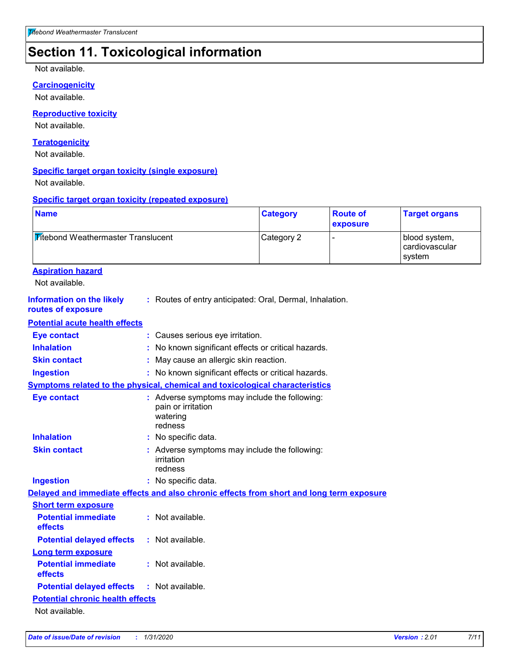### **Section 11. Toxicological information**

Not available.

#### **Carcinogenicity**

Not available.

#### **Reproductive toxicity**

Not available.

#### **Teratogenicity**

Not available.

#### **Specific target organ toxicity (single exposure)**

Not available.

#### **Specific target organ toxicity (repeated exposure)**

| <b>Titebond Weathermaster Translucent</b><br>Category 2<br>blood system,<br>cardiovascular<br>system<br><b>Aspiration hazard</b><br>Not available.<br><b>Information on the likely</b><br>: Routes of entry anticipated: Oral, Dermal, Inhalation.<br>routes of exposure<br><b>Potential acute health effects</b><br><b>Eye contact</b><br>: Causes serious eye irritation.<br><b>Inhalation</b><br>No known significant effects or critical hazards.<br><b>Skin contact</b><br>May cause an allergic skin reaction.<br>: No known significant effects or critical hazards.<br><b>Ingestion</b><br><b>Symptoms related to the physical, chemical and toxicological characteristics</b><br><b>Eye contact</b><br>: Adverse symptoms may include the following:<br>pain or irritation<br>watering<br>redness<br><b>Inhalation</b><br>No specific data.<br><b>Skin contact</b><br>: Adverse symptoms may include the following:<br>irritation<br>redness<br><b>Ingestion</b><br>: No specific data.<br>Delayed and immediate effects and also chronic effects from short and long term exposure<br><b>Short term exposure</b><br>: Not available.<br><b>Potential immediate</b><br>effects<br><b>Potential delayed effects</b><br>: Not available.<br><b>Long term exposure</b><br><b>Potential immediate</b><br>: Not available.<br>effects<br><b>Potential delayed effects</b><br>: Not available.<br><b>Potential chronic health effects</b><br>Not available. | <b>Name</b> |  | <b>Category</b> | <b>Route of</b><br>exposure | <b>Target organs</b> |
|----------------------------------------------------------------------------------------------------------------------------------------------------------------------------------------------------------------------------------------------------------------------------------------------------------------------------------------------------------------------------------------------------------------------------------------------------------------------------------------------------------------------------------------------------------------------------------------------------------------------------------------------------------------------------------------------------------------------------------------------------------------------------------------------------------------------------------------------------------------------------------------------------------------------------------------------------------------------------------------------------------------------------------------------------------------------------------------------------------------------------------------------------------------------------------------------------------------------------------------------------------------------------------------------------------------------------------------------------------------------------------------------------------------------------------------------------------------|-------------|--|-----------------|-----------------------------|----------------------|
|                                                                                                                                                                                                                                                                                                                                                                                                                                                                                                                                                                                                                                                                                                                                                                                                                                                                                                                                                                                                                                                                                                                                                                                                                                                                                                                                                                                                                                                                |             |  |                 |                             |                      |
|                                                                                                                                                                                                                                                                                                                                                                                                                                                                                                                                                                                                                                                                                                                                                                                                                                                                                                                                                                                                                                                                                                                                                                                                                                                                                                                                                                                                                                                                |             |  |                 |                             |                      |
|                                                                                                                                                                                                                                                                                                                                                                                                                                                                                                                                                                                                                                                                                                                                                                                                                                                                                                                                                                                                                                                                                                                                                                                                                                                                                                                                                                                                                                                                |             |  |                 |                             |                      |
|                                                                                                                                                                                                                                                                                                                                                                                                                                                                                                                                                                                                                                                                                                                                                                                                                                                                                                                                                                                                                                                                                                                                                                                                                                                                                                                                                                                                                                                                |             |  |                 |                             |                      |
|                                                                                                                                                                                                                                                                                                                                                                                                                                                                                                                                                                                                                                                                                                                                                                                                                                                                                                                                                                                                                                                                                                                                                                                                                                                                                                                                                                                                                                                                |             |  |                 |                             |                      |
|                                                                                                                                                                                                                                                                                                                                                                                                                                                                                                                                                                                                                                                                                                                                                                                                                                                                                                                                                                                                                                                                                                                                                                                                                                                                                                                                                                                                                                                                |             |  |                 |                             |                      |
|                                                                                                                                                                                                                                                                                                                                                                                                                                                                                                                                                                                                                                                                                                                                                                                                                                                                                                                                                                                                                                                                                                                                                                                                                                                                                                                                                                                                                                                                |             |  |                 |                             |                      |
|                                                                                                                                                                                                                                                                                                                                                                                                                                                                                                                                                                                                                                                                                                                                                                                                                                                                                                                                                                                                                                                                                                                                                                                                                                                                                                                                                                                                                                                                |             |  |                 |                             |                      |
|                                                                                                                                                                                                                                                                                                                                                                                                                                                                                                                                                                                                                                                                                                                                                                                                                                                                                                                                                                                                                                                                                                                                                                                                                                                                                                                                                                                                                                                                |             |  |                 |                             |                      |
|                                                                                                                                                                                                                                                                                                                                                                                                                                                                                                                                                                                                                                                                                                                                                                                                                                                                                                                                                                                                                                                                                                                                                                                                                                                                                                                                                                                                                                                                |             |  |                 |                             |                      |
|                                                                                                                                                                                                                                                                                                                                                                                                                                                                                                                                                                                                                                                                                                                                                                                                                                                                                                                                                                                                                                                                                                                                                                                                                                                                                                                                                                                                                                                                |             |  |                 |                             |                      |
|                                                                                                                                                                                                                                                                                                                                                                                                                                                                                                                                                                                                                                                                                                                                                                                                                                                                                                                                                                                                                                                                                                                                                                                                                                                                                                                                                                                                                                                                |             |  |                 |                             |                      |
|                                                                                                                                                                                                                                                                                                                                                                                                                                                                                                                                                                                                                                                                                                                                                                                                                                                                                                                                                                                                                                                                                                                                                                                                                                                                                                                                                                                                                                                                |             |  |                 |                             |                      |
|                                                                                                                                                                                                                                                                                                                                                                                                                                                                                                                                                                                                                                                                                                                                                                                                                                                                                                                                                                                                                                                                                                                                                                                                                                                                                                                                                                                                                                                                |             |  |                 |                             |                      |
|                                                                                                                                                                                                                                                                                                                                                                                                                                                                                                                                                                                                                                                                                                                                                                                                                                                                                                                                                                                                                                                                                                                                                                                                                                                                                                                                                                                                                                                                |             |  |                 |                             |                      |
|                                                                                                                                                                                                                                                                                                                                                                                                                                                                                                                                                                                                                                                                                                                                                                                                                                                                                                                                                                                                                                                                                                                                                                                                                                                                                                                                                                                                                                                                |             |  |                 |                             |                      |
|                                                                                                                                                                                                                                                                                                                                                                                                                                                                                                                                                                                                                                                                                                                                                                                                                                                                                                                                                                                                                                                                                                                                                                                                                                                                                                                                                                                                                                                                |             |  |                 |                             |                      |
|                                                                                                                                                                                                                                                                                                                                                                                                                                                                                                                                                                                                                                                                                                                                                                                                                                                                                                                                                                                                                                                                                                                                                                                                                                                                                                                                                                                                                                                                |             |  |                 |                             |                      |
|                                                                                                                                                                                                                                                                                                                                                                                                                                                                                                                                                                                                                                                                                                                                                                                                                                                                                                                                                                                                                                                                                                                                                                                                                                                                                                                                                                                                                                                                |             |  |                 |                             |                      |
|                                                                                                                                                                                                                                                                                                                                                                                                                                                                                                                                                                                                                                                                                                                                                                                                                                                                                                                                                                                                                                                                                                                                                                                                                                                                                                                                                                                                                                                                |             |  |                 |                             |                      |
|                                                                                                                                                                                                                                                                                                                                                                                                                                                                                                                                                                                                                                                                                                                                                                                                                                                                                                                                                                                                                                                                                                                                                                                                                                                                                                                                                                                                                                                                |             |  |                 |                             |                      |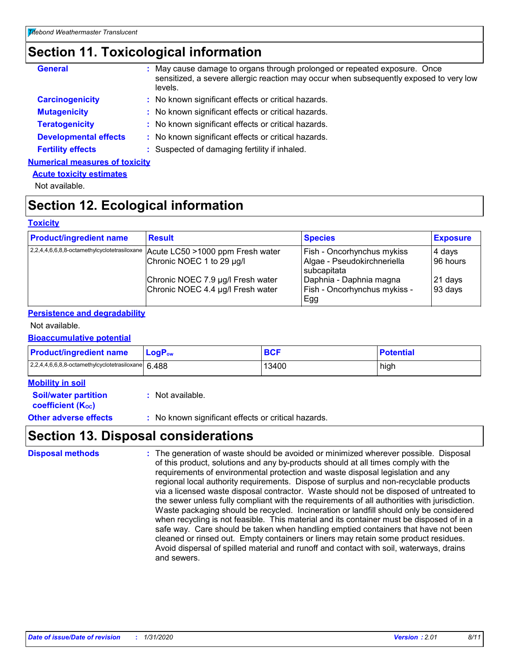### **Section 11. Toxicological information**

| <b>General</b>                        | : May cause damage to organs through prolonged or repeated exposure. Once<br>sensitized, a severe allergic reaction may occur when subsequently exposed to very low<br>levels. |
|---------------------------------------|--------------------------------------------------------------------------------------------------------------------------------------------------------------------------------|
| <b>Carcinogenicity</b>                | : No known significant effects or critical hazards.                                                                                                                            |
| <b>Mutagenicity</b>                   | : No known significant effects or critical hazards.                                                                                                                            |
| <b>Teratogenicity</b>                 | : No known significant effects or critical hazards.                                                                                                                            |
| <b>Developmental effects</b>          | : No known significant effects or critical hazards.                                                                                                                            |
| <b>Fertility effects</b>              | : Suspected of damaging fertility if inhaled.                                                                                                                                  |
| <b>Numerical measures of toxicity</b> |                                                                                                                                                                                |

#### **Acute toxicity estimates**

Not available.

### **Section 12. Ecological information**

#### **Toxicity**

| <b>Product/ingredient name</b> | <b>Result</b>                                                                  | <b>Species</b>                             | <b>Exposure</b> |
|--------------------------------|--------------------------------------------------------------------------------|--------------------------------------------|-----------------|
|                                | 2,2,4,4,6,6,8,8-octamethylcyclotetrasiloxane Acute LC50 > 1000 ppm Fresh water | <b>Fish - Oncorhynchus mykiss</b>          | 4 days          |
|                                | Chronic NOEC 1 to 29 µg/l                                                      | Algae - Pseudokirchneriella<br>subcapitata | 196 hours       |
|                                | Chronic NOEC 7.9 µg/l Fresh water                                              | Daphnia - Daphnia magna                    | 21 days         |
|                                | Chronic NOEC 4.4 µg/l Fresh water                                              | Fish - Oncorhynchus mykiss -<br>∣Egg       | 93 days         |

#### **Persistence and degradability**

#### Not available.

#### **Bioaccumulative potential**

| <b>Product/ingredient name</b>                     | $\mathsf{LogP}_\mathsf{ow}$ | <b>BCF</b> | <b>Potential</b> |
|----------------------------------------------------|-----------------------------|------------|------------------|
| 2,2,4,4,6,6,8,8-octamethylcyclotetrasiloxane 6.488 |                             | 13400      | high             |

| <b>Mobility in soil</b>                                       |                                                     |
|---------------------------------------------------------------|-----------------------------------------------------|
| <b>Soil/water partition</b><br>coefficient (K <sub>oc</sub> ) | : Not available.                                    |
| <b>Other adverse effects</b>                                  | : No known significant effects or critical hazards. |

### **Section 13. Disposal considerations**

| <b>Disposal methods</b> | : The generation of waste should be avoided or minimized wherever possible. Disposal<br>of this product, solutions and any by-products should at all times comply with the<br>requirements of environmental protection and waste disposal legislation and any<br>regional local authority requirements. Dispose of surplus and non-recyclable products<br>via a licensed waste disposal contractor. Waste should not be disposed of untreated to<br>the sewer unless fully compliant with the requirements of all authorities with jurisdiction.<br>Waste packaging should be recycled. Incineration or landfill should only be considered<br>when recycling is not feasible. This material and its container must be disposed of in a<br>safe way. Care should be taken when handling emptied containers that have not been<br>cleaned or rinsed out. Empty containers or liners may retain some product residues.<br>Avoid dispersal of spilled material and runoff and contact with soil, waterways, drains<br>and sewers. |
|-------------------------|-------------------------------------------------------------------------------------------------------------------------------------------------------------------------------------------------------------------------------------------------------------------------------------------------------------------------------------------------------------------------------------------------------------------------------------------------------------------------------------------------------------------------------------------------------------------------------------------------------------------------------------------------------------------------------------------------------------------------------------------------------------------------------------------------------------------------------------------------------------------------------------------------------------------------------------------------------------------------------------------------------------------------------|
|-------------------------|-------------------------------------------------------------------------------------------------------------------------------------------------------------------------------------------------------------------------------------------------------------------------------------------------------------------------------------------------------------------------------------------------------------------------------------------------------------------------------------------------------------------------------------------------------------------------------------------------------------------------------------------------------------------------------------------------------------------------------------------------------------------------------------------------------------------------------------------------------------------------------------------------------------------------------------------------------------------------------------------------------------------------------|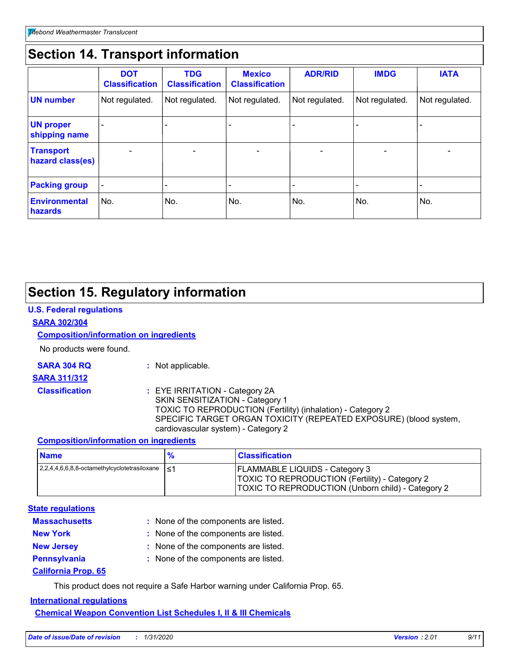### **Section 14. Transport information**

|                                      | <b>DOT</b><br><b>Classification</b> | <b>TDG</b><br><b>Classification</b> | <b>Mexico</b><br><b>Classification</b> | <b>ADR/RID</b>           | <b>IMDG</b>              | <b>IATA</b>    |
|--------------------------------------|-------------------------------------|-------------------------------------|----------------------------------------|--------------------------|--------------------------|----------------|
| <b>UN number</b>                     | Not regulated.                      | Not regulated.                      | Not regulated.                         | Not regulated.           | Not regulated.           | Not regulated. |
| <b>UN proper</b><br>shipping name    |                                     |                                     |                                        |                          |                          |                |
| <b>Transport</b><br>hazard class(es) |                                     |                                     |                                        | $\overline{\phantom{0}}$ | $\overline{\phantom{0}}$ | $\blacksquare$ |
| <b>Packing group</b>                 | $\overline{\phantom{a}}$            |                                     |                                        |                          |                          |                |
| <b>Environmental</b><br>hazards      | No.                                 | No.                                 | No.                                    | No.                      | No.                      | No.            |

### **Section 15. Regulatory information**

#### **U.S. Federal regulations**

#### **SARA 302/304**

#### **Composition/information on ingredients**

No products were found.

- 
- **SARA 304 RQ :** Not applicable.
- **SARA 311/312**
	-
- 
- **Classification :** EYE IRRITATION Category 2A SKIN SENSITIZATION - Category 1 TOXIC TO REPRODUCTION (Fertility) (inhalation) - Category 2 SPECIFIC TARGET ORGAN TOXICITY (REPEATED EXPOSURE) (blood system, cardiovascular system) - Category 2

#### **Composition/information on ingredients**

| <b>Name</b>                                  | $\frac{9}{6}$ | <b>Classification</b>                                                                                                                                      |
|----------------------------------------------|---------------|------------------------------------------------------------------------------------------------------------------------------------------------------------|
| 2,2,4,4,6,6,8,8-octamethylcyclotetrasiloxane | ו>⊺           | <b>FLAMMABLE LIQUIDS - Category 3</b><br><b>TOXIC TO REPRODUCTION (Fertility) - Category 2</b><br><b>TOXIC TO REPRODUCTION (Unborn child) - Category 2</b> |

#### **State regulations**

| <b>Massachusetts</b>       | : None of the components are listed. |
|----------------------------|--------------------------------------|
| <b>New York</b>            | : None of the components are listed. |
| <b>New Jersey</b>          | : None of the components are listed. |
| <b>Pennsylvania</b>        | : None of the components are listed. |
| <b>California Prop. 65</b> |                                      |

This product does not require a Safe Harbor warning under California Prop. 65.

#### **International regulations**

**Chemical Weapon Convention List Schedules I, II & III Chemicals**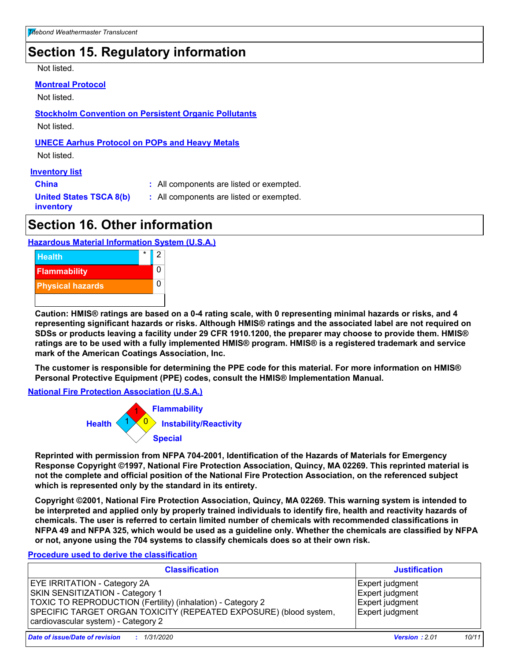### **Section 15. Regulatory information**

Not listed.

#### **Montreal Protocol**

Not listed.

**Stockholm Convention on Persistent Organic Pollutants**

Not listed.

#### **UNECE Aarhus Protocol on POPs and Heavy Metals**

Not listed.

#### **Inventory list**

**China :** All components are listed or exempted.

**United States TSCA 8(b) inventory**

**:** All components are listed or exempted.

### **Section 16. Other information**

#### **Hazardous Material Information System (U.S.A.)**



**Caution: HMIS® ratings are based on a 0-4 rating scale, with 0 representing minimal hazards or risks, and 4 representing significant hazards or risks. Although HMIS® ratings and the associated label are not required on SDSs or products leaving a facility under 29 CFR 1910.1200, the preparer may choose to provide them. HMIS® ratings are to be used with a fully implemented HMIS® program. HMIS® is a registered trademark and service mark of the American Coatings Association, Inc.**

**The customer is responsible for determining the PPE code for this material. For more information on HMIS® Personal Protective Equipment (PPE) codes, consult the HMIS® Implementation Manual.**

**National Fire Protection Association (U.S.A.)**



**Reprinted with permission from NFPA 704-2001, Identification of the Hazards of Materials for Emergency Response Copyright ©1997, National Fire Protection Association, Quincy, MA 02269. This reprinted material is not the complete and official position of the National Fire Protection Association, on the referenced subject which is represented only by the standard in its entirety.**

**Copyright ©2001, National Fire Protection Association, Quincy, MA 02269. This warning system is intended to be interpreted and applied only by properly trained individuals to identify fire, health and reactivity hazards of chemicals. The user is referred to certain limited number of chemicals with recommended classifications in NFPA 49 and NFPA 325, which would be used as a guideline only. Whether the chemicals are classified by NFPA or not, anyone using the 704 systems to classify chemicals does so at their own risk.**

#### **Procedure used to derive the classification**

| <b>Classification</b>                                                                                                                                                                                                                             | <b>Justification</b>                                                     |
|---------------------------------------------------------------------------------------------------------------------------------------------------------------------------------------------------------------------------------------------------|--------------------------------------------------------------------------|
| <b>EYE IRRITATION - Category 2A</b><br>SKIN SENSITIZATION - Category 1<br>TOXIC TO REPRODUCTION (Fertility) (inhalation) - Category 2<br>SPECIFIC TARGET ORGAN TOXICITY (REPEATED EXPOSURE) (blood system,<br>cardiovascular system) - Category 2 | Expert judgment<br>Expert judgment<br>Expert judgment<br>Expert judgment |